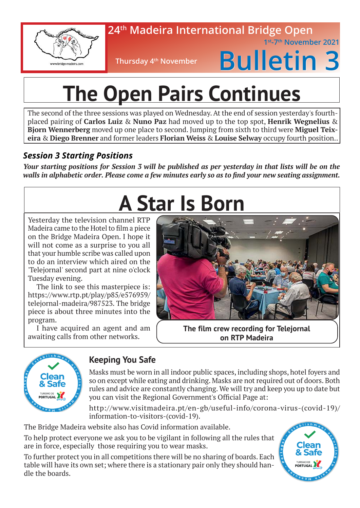

### **24th Madeira International Bridge Open 1st-7th November 2021**

**Thursday 4<sup>th</sup> November** 



# **The Open Pairs Continues**

The second of the three sessions was played on Wednesday. At the end of session yesterday's fourthplaced pairing of **Carlos Luiz** & **Nuno Paz** had moved up to the top spot, **Henrik Wegnelius** & **Bjorn Wennerberg** moved up one place to second. Jumping from sixth to third were **Miguel Teixeira** & **Diego Brenner** and former leaders **Florian Weiss** & **Louise Selway** occupy fourth position..

## *Session 3 Starting Positions*

*Your starting positions for Session 3 will be published as per yesterday in that lists will be on the walls in alphabetic order. Please come a few minutes early so as to find your new seating assignment.* 

## **A Star Is Born**

Yesterday the television channel RTP Madeira came to the Hotel to film a piece on the Bridge Madeira Open. I hope it will not come as a surprise to you all that your humble scribe was called upon to do an interview which aired on the 'Telejornal' second part at nine o'clock Tuesday evening.

The link to see this masterpiece is: https://www.rtp.pt/play/p85/e576959/ telejornal-madeira/987523. The bridge piece is about three minutes into the program.

I have acquired an agent and am awaiting calls from other networks.



**on RTP Madeira**



## **Keeping You Safe**

Masks must be worn in all indoor public spaces, including shops, hotel foyers and so on except while eating and drinking. Masks are not required out of doors. Both rules and advice are constantly changing. We will try and keep you up to date but you can visit the Regional Government's Official Page at:

http://www.visitmadeira.pt/en-gb/useful-info/corona-virus-(covid-19)/ information-to-visitors-(covid-19).

The Bridge Madeira website also has Covid information available.

To help protect everyone we ask you to be vigilant in following all the rules that are in force, especially those requiring you to wear masks.

To further protect you in all competitions there will be no sharing of boards. Each table will have its own set; where there is a stationary pair only they should handle the boards.

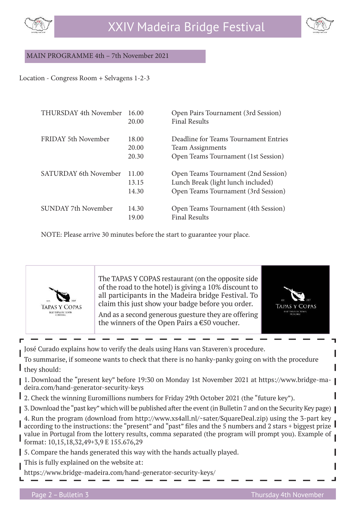



#### MAIN PROGRAMME 4th – 7th November 2021

#### Location - Congress Room + Selvagens 1-2-3

| THURSDAY 4th November        | 16.00<br>20.00          | Open Pairs Tournament (3rd Session)<br><b>Final Results</b>                                                      |
|------------------------------|-------------------------|------------------------------------------------------------------------------------------------------------------|
| FRIDAY 5th November          | 18.00<br>20.00<br>20.30 | Deadline for Teams Tournament Entries<br><b>Team Assignments</b><br>Open Teams Tournament (1st Session)          |
| <b>SATURDAY 6th November</b> | 11.00<br>13.15<br>14.30 | Open Teams Tournament (2nd Session)<br>Lunch Break (light lunch included)<br>Open Teams Tournament (3rd Session) |
| SUNDAY 7th November          | 14.30<br>19.00          | Open Teams Tournament (4th Session)<br><b>Final Results</b>                                                      |

NOTE: Please arrive 30 minutes before the start to guarantee your place.



The TAPAS Y COPAS restaurant (on the opposite side of the road to the hotel) is giving a 10% discount to all participants in the Madeira bridge Festival. To claim this just show your badge before you order.

And as a second generous guesture they are offering the winners of the Open Pairs a €50 voucher.



José Curado explains how to verify the deals using Hans van Staveren's procedure.

To summarise, if someone wants to check that there is no hanky-panky going on with the procedure they should:

- 1. Download the "present key" before 19:30 on Monday 1st November 2021 at https://www.bridge-madeira.com/hand-generator-security-keys
- 2. Check the winning Euromillions numbers for Friday 29th October 2021 (the "future key").
- 3. Download the "past key" which will be published after the event (in Bulletin 7 and on the Security Key page)
- 4. Run the program (download from http://www.xs4all.nl/~sater/SquareDeal.zip) using the 3-part key according to the instructions: the "present" and "past" files and the 5 numbers and 2 stars + biggest prize I value in Portugal from the lottery results, comma separated (the program will prompt you). Example of format: 10,15,18,32,49+3,9 E 155.676,29
- 5. Compare the hands generated this way with the hands actually played.
- This is fully explained on the website at:
- https://www.bridge-madeira.com/hand-generator-security-keys/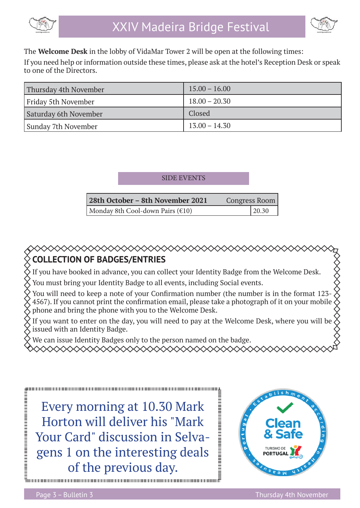

$$
\textcolor{blue}{\textcircled{\footnotesize{f}}}
$$

The **Welcome Desk** in the lobby of VidaMar Tower 2 will be open at the following times:

If you need help or information outside these times, please ask at the hotel's Reception Desk or speak to one of the Directors.

| Thursday 4th November | $15.00 - 16.00$ |
|-----------------------|-----------------|
| Friday 5th November   | $18.00 - 20.30$ |
| Saturday 6th November | Closed          |
| Sunday 7th November   | $13.00 - 14.30$ |

#### SIDE EVENTS

| 28th October - 8th November 2021           | Congress Room |
|--------------------------------------------|---------------|
| Monday 8th Cool-down Pairs $(\epsilon 10)$ | 20.30         |

## **COLLECTION OF BADGES/ENTRIES**

If you have booked in advance, you can collect your Identity Badge from the Welcome Desk.

You must bring your Identity Badge to all events, including Social events.

◇◇◇◇◇◇◇◇◇◇◇◇◇◇◇◇◇◇◇◇◇◇◇◇◇◇◇◇

You will need to keep a note of your Confirmation number (the number is in the format 123-4567). If you cannot print the confirmation email, please take a photograph of it on your mobile phone and bring the phone with you to the Welcome Desk.

If you want to enter on the day, you will need to pay at the Welcome Desk, where you will be issued with an Identity Badge.

We can issue Identity Badges only to the person named on the badge.

XXXXXXXXXXXXXXXXXXXXXXXXXXXXX

Every morning at 10.30 Mark Horton will deliver his "Mark Your Card" discussion in Selvagens 1 on the interesting deals of the previous day.

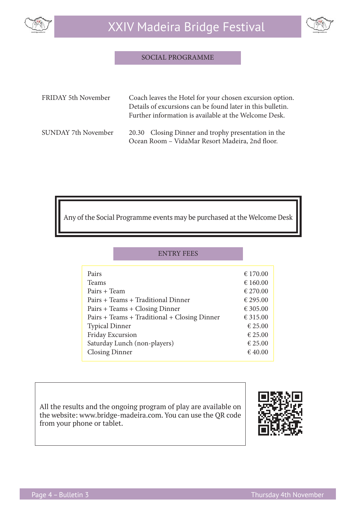

#### SOCIAL PROGRAMME

| FRIDAY 5th November | Coach leaves the Hotel for your chosen excursion option.<br>Details of excursions can be found later in this bulletin.<br>Further information is available at the Welcome Desk. |
|---------------------|---------------------------------------------------------------------------------------------------------------------------------------------------------------------------------|
| SUNDAY 7th November | 20.30 Closing Dinner and trophy presentation in the<br>Ocean Room - VidaMar Resort Madeira, 2nd floor.                                                                          |

Any of the Social Programme events may be purchased at the Welcome Desk

| <b>ENTRY FEES</b>                            |          |
|----------------------------------------------|----------|
| Pairs                                        | € 170.00 |
| <b>Teams</b>                                 | € 160.00 |
| Pairs + Team                                 | € 270.00 |
| Pairs + Teams + Traditional Dinner           | € 295.00 |
| Pairs + Teams + Closing Dinner               | € 305.00 |
| Pairs + Teams + Traditional + Closing Dinner | € 315.00 |
| <b>Typical Dinner</b>                        | € 25.00  |
| Friday Excursion                             | € 25.00  |
| Saturday Lunch (non-players)                 | € 25.00  |
| <b>Closing Dinner</b>                        | € 40.00  |

All the results and the ongoing program of play are available on the website: www.bridge-madeira.com. You can use the QR code from your phone or tablet.

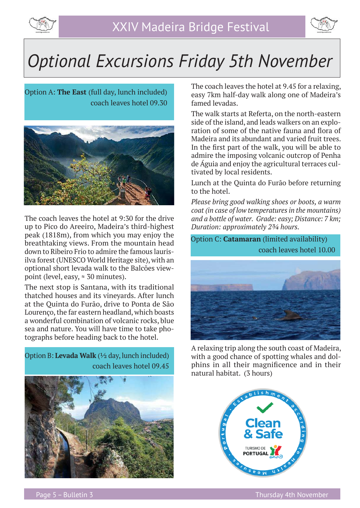



## *Optional Excursions Friday 5th November*

Option A: **The East** (full day, lunch included) coach leaves hotel 09.30



The coach leaves the hotel at 9:30 for the drive up to Pico do Areeiro, Madeira's third-highest peak (1818m), from which you may enjoy the breathtaking views. From the mountain head down to Ribeiro Frio to admire the famous laurisilva forest (UNESCO World Heritage site), with an optional short levada walk to the Balcões viewpoint (level, easy,  $\approx 30$  minutes).

The next stop is Santana, with its traditional thatched houses and its vineyards. After lunch at the Quinta do Furão, drive to Ponta de São Lourenço, the far eastern headland, which boasts a wonderful combination of volcanic rocks, blue sea and nature. You will have time to take photographs before heading back to the hotel.

Option B: **Levada Walk** (½ day, lunch included) coach leaves hotel 09.45



The coach leaves the hotel at 9.45 for a relaxing, easy 7km half-day walk along one of Madeira's famed levadas.

The walk starts at Referta, on the north-eastern side of the island, and leads walkers on an exploration of some of the native fauna and flora of Madeira and its abundant and varied fruit trees. In the first part of the walk, you will be able to admire the imposing volcanic outcrop of Penha de Águia and enjoy the agricultural terraces cultivated by local residents.

Lunch at the Quinta do Furão before returning to the hotel.

*Please bring good walking shoes or boots, a warm coat (in case of low temperatures in the mountains) and a bottle of water. Grade: easy; Distance: 7 km; Duration: approximately 2¾ hours.*

Option C: **Catamaran** (limited availability) coach leaves hotel 10.00



A relaxing trip along the south coast of Madeira, with a good chance of spotting whales and dolphins in all their magnificence and in their natural habitat. (3 hours)

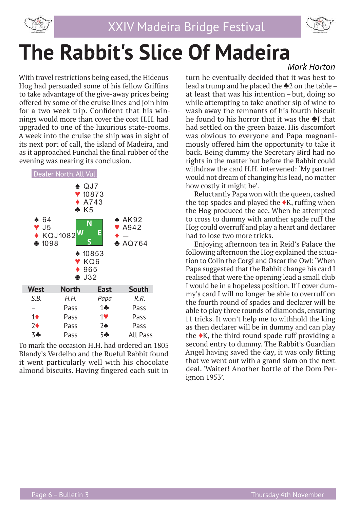



# **The Rabbit's Slice Of Madeira**

With travel restrictions being eased, the Hideous Hog had persuaded some of his fellow Griffins to take advantage of the give-away prices being offered by some of the cruise lines and join him for a two week trip. Confident that his winnings would more than cover the cost H.H. had upgraded to one of the luxurious state-rooms. A week into the cruise the ship was in sight of its next port of call, the island of Madeira, and as it approached Funchal the final rubber of the evening was nearing its conclusion.



To mark the occasion H.H. had ordered an 1805 Blandy's Verdelho and the Rueful Rabbit found it went particularly well with his chocolate almond biscuits. Having fingered each suit in

### *Mark Horton*

turn he eventually decided that it was best to lead a trump and he placed the ♣2 on the table – at least that was his intention – but, doing so while attempting to take another sip of wine to wash away the remnants of his fourth biscuit he found to his horror that it was the ♣J that had settled on the green baize. His discomfort was obvious to everyone and Papa magnanimously offered him the opportunity to take it back. Being dummy the Secretary Bird had no rights in the matter but before the Rabbit could withdraw the card H.H. intervened: 'My partner would not dream of changing his lead, no matter how costly it might be'.

Reluctantly Papa won with the queen, cashed the top spades and played the  $\blacklozenge K$ , ruffing when the Hog produced the ace. When he attempted to cross to dummy with another spade ruff the Hog could overruff and play a heart and declarer had to lose two more tricks.

Enjoying afternoon tea in Reid's Palace the following afternoon the Hog explained the situation to Colin the Corgi and Oscar the Owl: 'When Papa suggested that the Rabbit change his card I realised that were the opening lead a small club I would be in a hopeless position. If I cover dummy's card I will no longer be able to overruff on the fourth round of spades and declarer will be able to play three rounds of diamonds, ensuring 11 tricks. It won't help me to withhold the king as then declarer will be in dummy and can play the  $\triangle$ K, the third round spade ruff providing a second entry to dummy. The Rabbit's Guardian Angel having saved the day, it was only fitting that we went out with a grand slam on the next deal. 'Waiter! Another bottle of the Dom Perignon 1953'.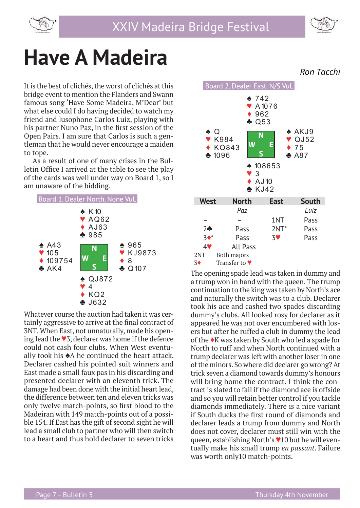



## **Have A Madeira**

It is the best of clichés, the worst of clichés at this bridge event to mention the Flanders and Swann famous song 'Have Some Madeira, M'Dear' but what else could I do having decided to watch my friend and lusophone Carlos Luiz, playing with his partner Nuno Paz, in the first session of the Open Pairs. I am sure that Carlos is such a gentleman that he would never encourage a maiden to tope.

As a result of one of many crises in the Bulletin Office I arrived at the table to see the play of the cards was well under way on Board 1, so I am unaware of the bidding.



Whatever course the auction had taken it was certainly aggressive to arrive at the final contract of 3NT. When East, not unnaturally, made his opening lead the ♥3, declarer was home if the defence could not cash four clubs. When West eventually took his ♠A he continued the heart attack. Declarer cashed his pointed suit winners and East made a small faux pas in his discarding and presented declarer with an eleventh trick. The damage had been done with the initial heart lead, the difference between ten and eleven tricks was only twelve match-points, so first blood to the Madeiran with 149 match-points out of a possible 154. If East has the gift of second sight he will lead a small club to partner who will then switch to a heart and thus hold declarer to seven tricks



The opening spade lead was taken in dummy and a trump won in hand with the queen. The trump continuation to the king was taken by North's ace and naturally the switch was to a club. Declarer took his ace and cashed two spades discarding dummy's clubs. All looked rosy for declarer as it appeared he was not over encumbered with losers but after he ruffed a club in dummy the lead of the ♦K was taken by South who led a spade for North to ruff and when North continued with a trump declarer was left with another loser in one of the minors. So where did declarer go wrong? At trick seven a diamond towards dummy's honours will bring home the contract. I think the contract is slated to fail if the diamond ace is offside and so you will retain better control if you tackle diamonds immediately. There is a nice variant if South ducks the first round of diamonds and declarer leads a trump from dummy and North does not cover, declarer must still win with the queen, establishing North's ♥10 but he will eventually make his small trump *en passant*. Failure was worth only10 match-points.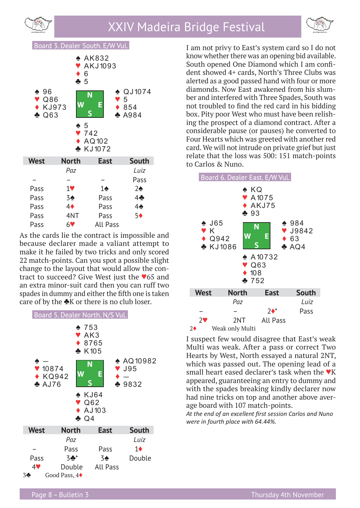





As the cards lie the contract is impossible and because declarer made a valiant attempt to make it he failed by two tricks and only scored 22 match-points. Can you spot a possible slight change to the layout that would allow the contract to succeed? Give West just the ♥65 and an extra minor-suit card then you can ruff two spades in dummy and either the fifth one is taken care of by the ♣K or there is no club loser.



I am not privy to East's system card so I do not know whether there was an opening bid available. South opened One Diamond which I am confident showed 4+ cards, North's Three Clubs was alerted as a good passed hand with four or more diamonds. Now East awakened from his slumber and interfered with Three Spades, South was not troubled to find the red card in his bidding box. Pity poor West who must have been relishing the prospect of a diamond contract. After a considerable pause (or pauses) he converted to Four Hearts which was greeted with another red card. We will not intrude on private grief but just relate that the loss was 500: 151 match-points to Carlos & Nuno.



I suspect few would disagree that East's weak Multi was weak. After a pass or correct Two Hearts by West, North essayed a natural 2NT, which was passed out. The opening lead of a small heart eased declarer's task when the  $\blacktriangledown K$ appeared, guaranteeing an entry to dummy and with the spades breaking kindly declarer now had nine tricks on top and another above average board with 107 match-points.

*At the end of an excellent first session Carlos and Nuno were in fourth place with 64.44%.*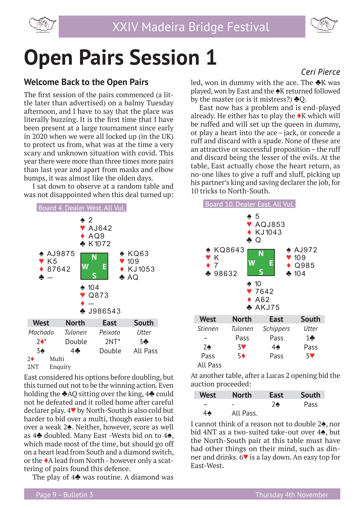



## **Open Pairs Session 1**

### **Welcome Back to the Open Pairs**

The first session of the pairs commenced (a little later than advertised) on a balmy Tuesday afternoon, and I have to say that the place was literally buzzing. It is the first time that I have been present at a large tournament since early in 2020 when we were all locked up (in the UK) to protect us from, what was at the time a very scary and unknown situation with covid. This year there were more than three times more pairs than last year and apart from masks and elbow bumps, it was almost like the olden days.

I sat down to observe at a random table and was not disappointed when this deal turned up:



East considered his options before doubling, but this turned out not to be the winning action. Even holding the ♣AQ sitting over the king, 4♣ could not be defeated and it rolled home after careful declarer play. 4♥ by North-South is also cold but harder to bid over a multi, though easier to bid over a weak 2♠. Neither, however, score as well as 4♣ doubled. Many East -Wests bid on to 4♠, which made most of the time, but should go off on a heart lead from South and a diamond switch, or the ♦A lead from North - however only a scattering of pairs found this defence.

The play of  $4\triangle$  was routine. A diamond was

## *Ceri Pierce*

led, won in dummy with the ace. The  $\clubsuit K$  was played, won by East and the ♠K returned followed by the master (or is it mistress?)  $\triangle$ O.

East now has a problem and is end-played already. He either has to play the  $\blacklozenge$ K which will be ruffed and will set up the queen in dummy, or play a heart into the ace – jack, or concede a ruff and discard with a spade. None of these are an attractive or successful proposition – the ruff and discard being the lesser of the evils. At the table, East actually chose the heart return, as no-one likes to give a ruff and sluff, picking up his partner's king and saving declarer the job, for 10 tricks to North-South.



At another table, after a Lucas 2 opening bid the auction proceeded:

| <b>West</b> | <b>North</b> | East | <b>South</b> |
|-------------|--------------|------|--------------|
|             | -            | 76   | Pass         |
| 46          | All Pass.    |      |              |

I cannot think of a reason not to double 2♠, nor bid 4NT as a two-suited take-out over 4♠, but the North-South pair at this table must have had other things on their mind, such as dinner and drinks. 6♥ is a lay down. An easy top for East-West.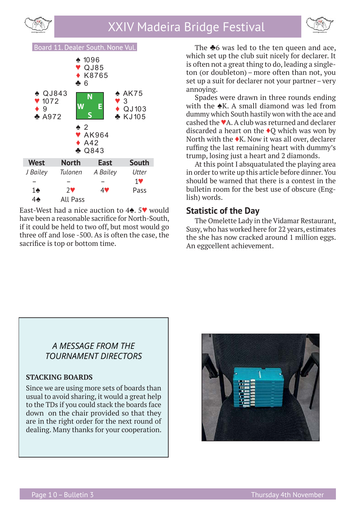



### Board 11. Dealer South. None Vul.



East-West had a nice auction to 4♠. 5♥ would have been a reasonable sacrifice for North-South, if it could be held to two off, but most would go three off and lose -500. As is often the case, the sacrifice is top or bottom time.

The **♣**6 was led to the ten queen and ace, which set up the club suit nicely for declarer. It is often not a great thing to do, leading a singleton (or doubleton) – more often than not, you set up a suit for declarer not your partner– very annoying.

Spades were drawn in three rounds ending with the  $\triangle$ K. A small diamond was led from dummy which South hastily won with the ace and cashed the ♥A. A club was returned and declarer discarded a heart on the  $\triangle$ O which was won by North with the ♦K. Now it was all over, declarer ruffing the last remaining heart with dummy's trump, losing just a heart and 2 diamonds.

At this point I absquatulated the playing area in order to write up this article before dinner. You should be warned that there is a contest in the bulletin room for the best use of obscure (English) words.

#### **Statistic of the Day**

The Omelette Lady in the Vidamar Restaurant, Susy, who has worked here for 22 years, estimates the she has now cracked around 1 million eggs. An eggcellent achievement.

### *A MESSAGE FROM THE TOURNAMENT DIRECTORS*

#### **STACKING BOARDS**

Since we are using more sets of boards than usual to avoid sharing, it would a great help to the TDs if you could stack the boards face down on the chair provided so that they are in the right order for the next round of dealing. Many thanks for your cooperation.

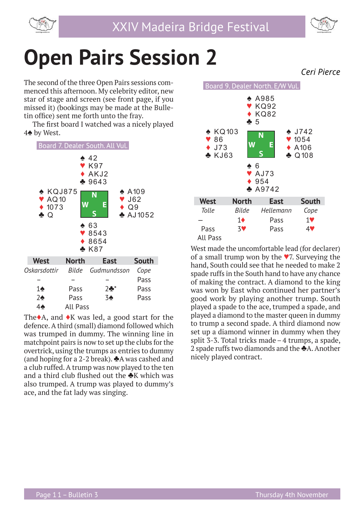



## **Open Pairs Session 2**

The second of the three Open Pairs sessions commenced this afternoon. My celebrity editor, new star of stage and screen (see front page, if you missed it) (bookings may be made at the Bulletin office) sent me forth unto the fray.

The first board I watched was a nicely played 4♠ by West.



The $\triangle$ A, and  $\triangle$ K was led, a good start for the defence. A third (small) diamond followed which was trumped in dummy. The winning line in matchpoint pairs is now to set up the clubs for the overtrick, using the trumps as entries to dummy (and hoping for a 2-2 break).  $\triangle$ A was cashed and a club ruffed. A trump was now played to the ten and a third club flushed out the  $\triangle K$  which was also trumped. A trump was played to dummy's ace, and the fat lady was singing.



West made the uncomfortable lead (for declarer) of a small trump won by the ♥7. Surveying the hand, South could see that he needed to make 2 spade ruffs in the South hand to have any chance of making the contract. A diamond to the king was won by East who continued her partner's good work by playing another trump. South played a spade to the ace, trumped a spade, and played a diamond to the master queen in dummy to trump a second spade. A third diamond now set up a diamond winner in dummy when they split 3-3. Total tricks made – 4 trumps, a spade, 2 spade ruffs two diamonds and the ♣A. Another nicely played contract.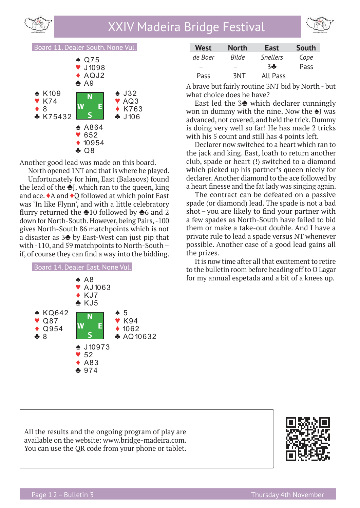



Board 11. Dealer South. None Vul.



Another good lead was made on this board.

North opened 1NT and that is where he played. Unfortunately for him, East (Balasovs) found the lead of the  $\triangle$ J, which ran to the queen, king and ace. ♦A and ♦Q followed at which point East was 'In like Flynn', and with a little celebratory flurry returned the  $\triangle 10$  followed by  $\triangle 6$  and 2 down for North-South. However, being Pairs, -100 gives North-South 86 matchpoints which is not a disaster as 3♣ by East-West can just pip that

with -110, and 59 matchpoints to North-South –



| <b>West</b> | <b>North</b> | <b>East</b>     | South |
|-------------|--------------|-----------------|-------|
| de Boer     | Bilde        | <b>Snellers</b> | Cope  |
|             |              | 3Ф              | Pass  |
| <b>Pass</b> | 3NT          | <b>All Pass</b> |       |

A brave but fairly routine 3NT bid by North - but what choice does he have?

East led the 3♣ which declarer cunningly won in dummy with the nine. Now the ♠J was advanced, not covered, and held the trick. Dummy is doing very well so far! He has made 2 tricks with his 5 count and still has 4 points left.

Declarer now switched to a heart which ran to the jack and king. East, loath to return another club, spade or heart (!) switched to a diamond which picked up his partner's queen nicely for declarer. Another diamond to the ace followed by a heart finesse and the fat lady was singing again.

The contract can be defeated on a passive spade (or diamond) lead. The spade is not a bad shot-you are likely to find your partner with a few spades as North-South have failed to bid them or make a take-out double. And I have a private rule to lead a spade versus NT whenever possible. Another case of a good lead gains all the prizes.

It is now time after all that excitement to retire to the bulletin room before heading off to O Lagar for my annual espetada and a bit of a knees up.

All the results and the ongoing program of play are available on the website: www.bridge-madeira.com. You can use the QR code from your phone or tablet.

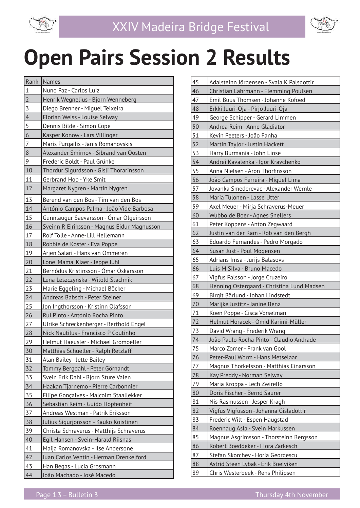

# **Open Pairs Session 2 Results**

| Rank           | <b>Names</b>                                |
|----------------|---------------------------------------------|
| $1\,$          | Nuno Paz - Carlos Luiz                      |
| $\overline{2}$ | Henrik Wegnelius - Bjorn Wenneberg          |
| $\overline{3}$ | Diego Brenner - Miguel Teixeira             |
| $\overline{4}$ | Florian Weiss - Louise Selway               |
| 5              | Dennis Bilde - Simon Cope                   |
| 6              | Kasper Konow - Lars Villinger               |
| $\overline{7}$ | Maris Purgailis - Janis Romanovskis         |
| $8\,$          | Alexander Smirnov - Sibrand van Oosten      |
| 9              | Frederic Boldt - Paul Grünke                |
| 10             | Thordur Sigurdsson - Gisli Thorarinsson     |
| 11             | Gerbrand Hop - Yke Smit                     |
| 12             | Margaret Nygren - Martin Nygren             |
| 13             | Berend van den Bos - Tim van den Bos        |
| 14             | António Campos Palma - João Vide Barbosa    |
| 15             | Gunnlaugur Saevarsson - Ómar Olgeirsson     |
| 16             | Sveinn R Eiriksson - Magnus Eidur Magnusson |
| 17             | Rolf Tolle - Anne-Lill Hellemann            |
| 18             | Robbie de Koster - Eva Poppe                |
| 19             | Arjen Salari - Hans van Ommeren             |
| 20             | Lone 'Mama' Kiaer - Jeppe Juhl              |
| 21             | Bernódus Kristinsson - Ómar Óskarsson       |
| 22             | Lena Leszczynska - Witold Stachnik          |
| 23             | Marie Eggeling - Michael Böcker             |
| 24             | Andreas Babsch - Peter Steiner              |
| 25             | Jon Ingthorsson - Kristinn Olafsson         |
| 26             | Rui Pinto - António Rocha Pinto             |
| 27             | Ulrike Schreckenberger - Berthold Engel     |
| 28             | Nick Nautilus - Francisco P Coutinho        |
| 29             | Helmut Haeusler - Michael Gromoeller        |
| 30             | Matthias Schueller - Ralph Retzlaff         |
| 31             | Alan Bailey - Jette Bailey                  |
| 32             | Tommy Bergdahl - Peter Görnandt             |
| 33             | Svein Erik Dahl - Bjorn Sture Valen         |
| 34             | Haakan Tjarnemo - Pierre Carbonnier         |
| $\frac{35}{2}$ | Filipe Gonçalves - Malcolm Staallekker      |
| 36             | Sebastian Reim - Guido Hopfenheit           |
| 37             | Andreas Westman - Patrik Eriksson           |
| 38             | Julius Sigurjonsson - Kauko Koistinen       |
| 39             | Christa Schraverus - Matthijs Schraverus    |
| 40             | Egil Hansen - Svein-Harald Riisnas          |
| 41             | Maija Romanovska - Ilse Andersone           |
| 42             | Juan Carlos Ventin - Herman Drenkelford     |
| 43             | Han Begas - Lucia Grosmann                  |
| 44             | João Machado - José Macedo                  |

| 45              | Adalsteinn Jörgensen - Svala K Palsdottir  |
|-----------------|--------------------------------------------|
| 46              | Christian Lahrmann - Flemming Poulsen      |
| 47              | Emil Buus Thomsen - Johanne Kofoed         |
| 48              | Erkki Juuri-Oja - Pirjo Juuri-Oja          |
| 49              | George Schipper - Gerard Limmen            |
| 50              | Andrea Reim - Anne Gladiator               |
| 51              | Kevin Peeters - João Fanha                 |
| 52              | Martin Taylor - Justin Hackett             |
| 53              | Harry Burmania - John Linse                |
| 54              | Andrei Kavalenka - Igor Kravchenko         |
| 55              | Anna Nielsen - Aron Thorfinsson            |
| 56              | João Campos Ferreira - Miguel Lima         |
| 57              | Jovanka Smederevac - Alexander Wernle      |
| 58              | Maria Tulonen - Lasse Utter                |
| 59              | Axel Meuer - Mirja Schraverus-Meuer        |
| 60              | Wubbo de Boer - Agnes Snellers             |
| 61              | Peter Koppens - Anton Zegwaard             |
| 62              | Justin van der Kam - Rob van den Bergh     |
| 63              | Eduardo Fernandes - Pedro Morgado          |
| 64              | Susan Just - Poul Mogensen                 |
| 65              | Adrians Imsa - Jurijs Balasovs             |
| 66              | Luís M Silva - Bruno Macedo                |
| 67              | Vigfus Palsson - Jorge Cruzeiro            |
| 68              | Henning Ostergaard - Christina Lund Madsen |
| 69              | Birgit Bärlund - Johan Lindstedt           |
| 70              | Marijke Justitz - Janine Benz              |
| 71              | Koen Poppe - Cisca Vorselman               |
| 72              | Helmut Horacek - Omid Karimi-Müller        |
| 73              | David Wrang - Frederik Wrang               |
| 74              | João Paulo Rocha Pinto - Claudio Andrade   |
| $\overline{7}5$ | Marco Zomer - Frank van Gool               |
| 76              | Peter-Paul Worm - Hans Metselaar           |
| 77              | Magnus Thorkelsson - Matthias Einarsson    |
| 78              | Kay Preddy - Norman Selway                 |
| 79              | Maria Kroppa - Lech Zwirello               |
| 80              | Doris Fischer - Bernd Saurer               |
| 81              | Nis Rasmussen - Jesper Kragh               |
| 82              | Vigfus Vigfusson - Johanna Gisladottir     |
| 83              | Frederic Wilt - Espen Haugstad             |
| 84              | Roennaug Asla - Svein Markussen            |
| 85              | Magnus Asgrimsson - Thorsteinn Bergsson    |
| 86              | Robert Boeddeker - Flora Zarkesch          |
| 87              | Stefan Skorchev - Horia Georgescu          |
| 88              | Astrid Steen Lybak - Erik Boelviken        |
| 89              | Chris Westerbeek - Rens Philipsen          |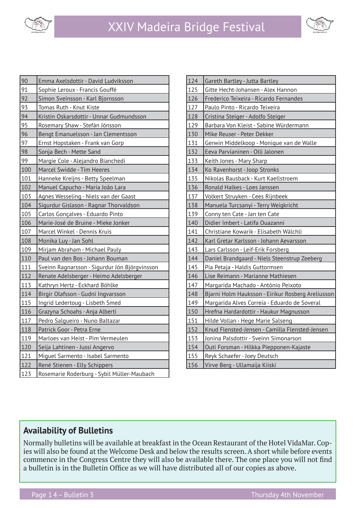



| 90  | Emma Axelsdottir - David Ludviksson           |
|-----|-----------------------------------------------|
| 91  | Sophie Leroux - Francis Gouffé                |
| 92  | Símon Sveinsson - Karl Bjornsson              |
| 93  | Tomas Ruth - Knut Kiste                       |
| 94  | Kristin Oskarsdottir - Unnar Gudmundsson      |
| 95  | Rosemary Shaw - Stefán Jónsson                |
| 96  | Bengt Emanuelsson - Jan Clementsson           |
| 97  | Ernst Hopstaken - Frank van Gorp              |
| 98  | Sonja Bech - Mette Sand                       |
| 99  | Margie Cole - Alejandro Bianchedi             |
| 100 | Marcel Swidde - Tim Heeres                    |
| 101 | Hanneke Kreijns - Betty Speelman              |
| 102 | Manuel Capucho - Maria João Lara              |
| 103 | Agnes Wesseling - Niels van der Gaast         |
| 104 | Sigurdur Gislason - Ragnar Thorvaldson        |
| 105 | Carlos Gonçalves - Eduardo Pinto              |
| 106 | Marie-José de Bruine - Mieke Jonker           |
| 107 | Marcel Winkel - Dennis Kruis                  |
| 108 | Monika Luy - Jan Sohl                         |
| 109 | Mirjam Abraham - Michael Pauly                |
| 110 | Paul van den Bos - Johann Bouman              |
| 111 | Sveinn Ragnarsson - Sigurdur Jón Björgvinsson |
| 112 | Renate Adelsberger - Heimo Adelsberger        |
| 113 | Kathryn Hertz - Eckhard Böhlke                |
| 114 | Birgir Olafsson - Gudni Ingvarsson            |
| 115 | Ingrid Ledertoug - Lisbeth Smed               |
| 116 | Grazyna Schoahs - Anja Alberti                |
| 117 | Pedro Salgueiro - Nuno Baltazar               |
| 118 | Patrick Goor - Petra Erne                     |
| 119 | Marloes van Heist - Pim Vermeulen             |
| 120 | Seija Lahtinen - Jussi Angervo                |
| 121 | Miguel Sarmento - Isabel Sarmento             |
| 122 | René Stienen - Elly Schippers                 |
| 123 | Rosemarie Roderburg - Sybil Müller-Maubach    |

| 124 | Gareth Bartley - Jutta Bartley                    |
|-----|---------------------------------------------------|
| 125 | Gitte Hecht-Johansen - Alex Hannon                |
| 126 | Frederico Teixeira - Ricardo Fernandes            |
| 127 | Paulo Pinto - Ricardo Teixeira                    |
| 128 | Cristina Steiger - Adolfo Steiger                 |
| 129 | Barbara Von Kleist - Sabine Würdermann            |
| 130 | Mike Reuser - Peter Dekker                        |
| 131 | Gerwin Middelkoop - Monique van de Walle          |
| 132 | Eeva Parvianinen - Olli Jalonen                   |
| 133 | Keith Jones - Mary Sharp                          |
| 134 | Ko Ravenhorst - Joop Stronks                      |
| 135 | Nikolas Bausback - Kurt Kaellstroem               |
| 136 | Ronald Halkes - Loes Janssen                      |
| 137 | Volkert Struyken - Cees Rijnbeek                  |
| 138 | Manuela Turcsanyi - Terry Weigkricht              |
| 139 | Conny ten Cate - Jan ten Cate                     |
| 140 | Didier Imbert - Latifa Ouazanni                   |
| 141 | Christiane Kowarik - Elisabeth Wälchli            |
| 142 | Karl Gretar Karlsson - Johann Aevarsson           |
| 143 | Lars Carlsson - Leif-Erik Forsberg                |
| 144 | Daniel Brandgaard - Niels Steenstrup Zeeberg      |
| 145 | Pia Petaja - Haldis Guttormsen                    |
| 146 | Lise Reimann - Marianne Mathiesen                 |
| 147 | Margarida Machado - António Peixoto               |
| 148 | Bjarni Holm Hauksson - Eirikur Rosberg Areliusson |
| 149 | Margarida Alves Correia - Eduardo de Soveral      |
| 150 | Hrefna Hardardottir - Haukur Magnusson            |
| 151 | Hilde Vollan - Hege Marie Salseng                 |
| 152 | Knud Flensted-Jensen - Camilla Flensted-Jensen    |
| 153 | Jonina Palsdottir - Sveinn Símonarson             |
| 154 | Outi Forsman - Hilkka Piepponen-Kajaste           |
| 155 | Reyk Schaefer - Joey Deutsch                      |
| 156 | Virve Berg - Ullamaija Kiiski                     |

### **Availability of Bulletins**

Normally bulletins will be available at breakfast in the Ocean Restaurant of the Hotel VidaMar. Copies will also be found at the Welcome Desk and below the results screen. A short while before events commence in the Congress Centre they will also be available there. The one place you will not find a bulletin is in the Bulletin Office as we will have distributed all of our copies as above.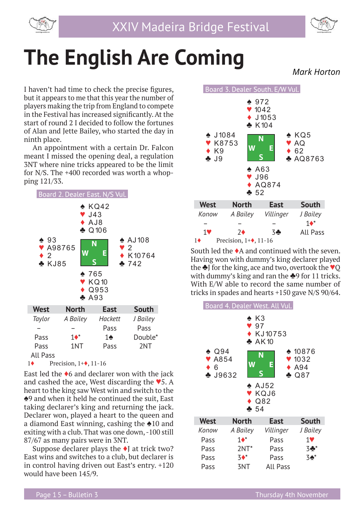

$$
\text{Cov}
$$

## **The English Are Coming**

I haven't had time to check the precise figures, but it appears to me that this year the number of players making the trip from England to compete in the Festival has increased significantly. At the start of round 2 I decided to follow the fortunes of Alan and Jette Bailey, who started the day in ninth place.

An appointment with a certain Dr. Falcon meant I missed the opening deal, a regulation 3NT where nine tricks appeared to be the limit for N/S. The +400 recorded was worth a whopping 121/33.



East led the  $\triangle$ 6 and declarer won with the jack and cashed the ace, West discarding the  $\blacktriangledown$ 5. A heart to the king saw West win and switch to the ♠9 and when it held he continued the suit, East taking declarer's king and returning the jack. Declarer won, played a heart to the queen and a diamond East winning, cashing the ♠10 and exiting with a club. That was one down, -100 still 87/67 as many pairs were in 3NT.

Suppose declarer plays the  $\blacklozenge$  at trick two? East wins and switches to a club, but declarer is in control having driven out East's entry. +120 would have been 145/9.



South led the ♦A and continued with the seven. Having won with dummy's king declarer played the ♣J for the king, ace and two, overtook the ♥Q with dummy's king and ran the **♣**9 for 11 tricks. With E/W able to record the same number of tricks in spades and hearts +150 gave N/S 90/64.



 *Mark Horton*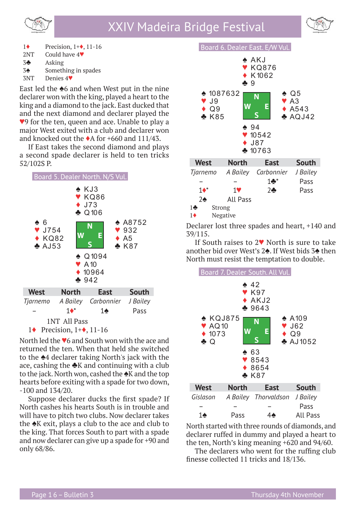



1♦ Precision, 1+♦, 11-16 2NT Could have 4♥

- 
- 3♣ Asking
- 3♠ Something in spades

3NT Denies 4♥

East led the ♠6 and when West put in the nine declarer won with the king, played a heart to the king and a diamond to the jack. East ducked that and the next diamond and declarer played the ♥9 for the ten, queen and ace. Unable to play a major West exited with a club and declarer won and knocked out the ♦A for +660 and 111/43.

If East takes the second diamond and plays a second spade declarer is held to ten tricks 52/102S P.



North led the ♥6 and South won with the ace and returned the ten. When that held she switched to the ♠4 declarer taking North's jack with the ace, cashing the ♣K and continuing with a club to the jack. North won, cashed the  $\triangle$ K and the top hearts before exiting with a spade for two down, -100 and 134/20.

Suppose declarer ducks the first spade? If North cashes his hearts South is in trouble and will have to pitch two clubs. Now declarer takes the ♠K exit, plays a club to the ace and club to the king. That forces South to part with a spade and now declarer can give up a spade for +90 and only 68/86.



Declarer lost three spades and heart, +140 and 39/115.

If South raises to 2♥ North is sure to take another bid over West's 2♠. If West bids 3♠ then North must resist the temptation to double.



North started with three rounds of diamonds, and declarer ruffed in dummy and played a heart to the ten, North's king meaning +620 and 94/60.

The declarers who went for the ruffing club finesse collected 11 tricks and 18/136.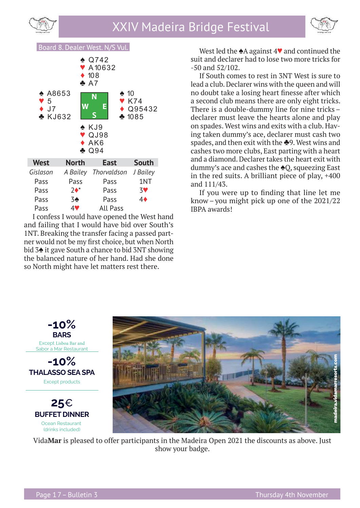



### Board 8. Dealer West. N/S Vul.



I confess I would have opened the West hand and failing that I would have bid over South's 1NT. Breaking the transfer facing a passed partner would not be my first choice, but when North bid 3♠ it gave South a chance to bid 3NT showing the balanced nature of her hand. Had she done so North might have let matters rest there.

West led the ♠A against 4♥ and continued the suit and declarer had to lose two more tricks for -50 and 52/102.

If South comes to rest in 3NT West is sure to lead a club. Declarer wins with the queen and will no doubt take a losing heart finesse after which a second club means there are only eight tricks. There is a double-dummy line for nine tricks – declarer must leave the hearts alone and play on spades. West wins and exits with a club. Having taken dummy's ace, declarer must cash two spades, and then exit with the ♣9. West wins and cashes two more clubs, East parting with a heart and a diamond. Declarer takes the heart exit with dummy's ace and cashes the ♠Q, squeezing East in the red suits. A brilliant piece of play, +400 and 111/43.

If you were up to finding that line let me know – you might pick up one of the 2021/22 IBPA awards!



Vida**Mar** is pleased to offer participants in the Madeira Open 2021 the discounts as above. Just show your badge.